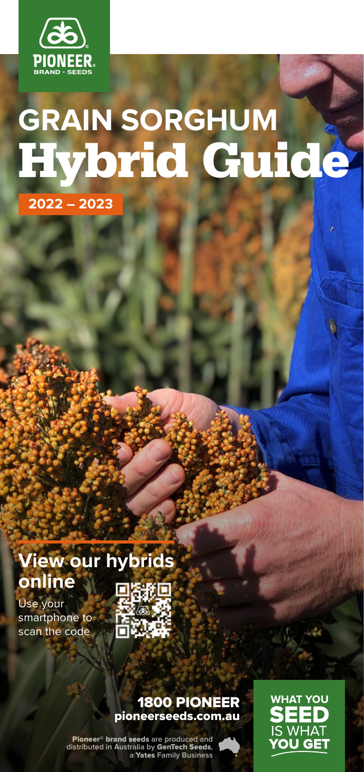

# **GRAIN SORGHUM**  Hybrid Guide

**2022 – 2023**

### **View our hybrids online**

Use your smartphone to scan the code



#### 1800 PIONEER pioneerseeds.com.au

Pioneer® brand seeds **are produced and distributed in Australia by** GenTech Seeds**, a** Yates **Family Business**



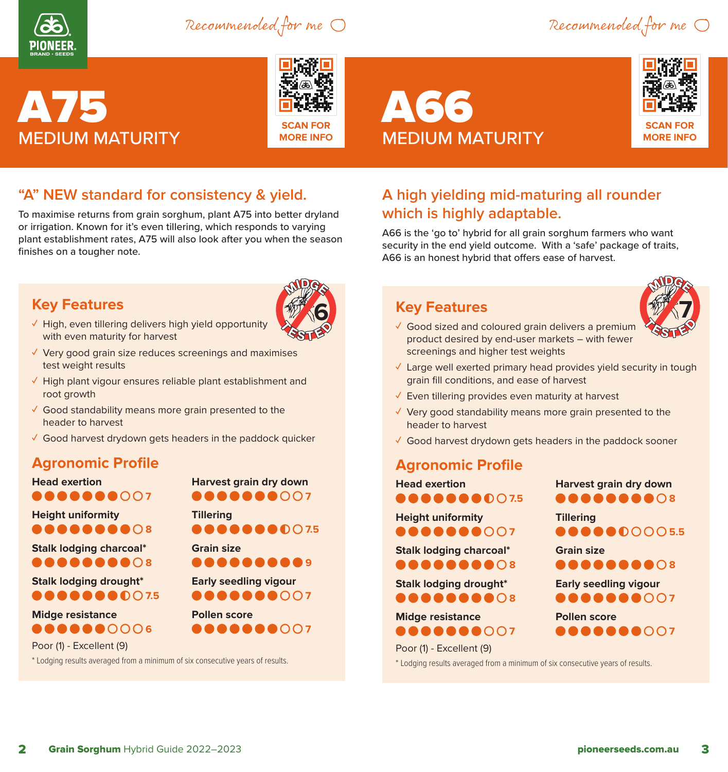

Recommended for me  $\bigcirc$  Recommended for me  $\bigcirc$ 





**SCAN FOR MORE INFO**

# A66 MEDIUM MATURITY



#### **"A" NEW standard for consistency & yield.**

To maximise returns from grain sorghum, plant A75 into better dryland or irrigation. Known for it's even tillering, which responds to varying plant establishment rates, A75 will also look after you when the season finishes on a tougher note.

#### **Key Features**



- **✓** High, even tillering delivers high yield opportunity with even maturity for harvest
- **✓** Very good grain size reduces screenings and maximises test weight results
- **✓** High plant vigour ensures reliable plant establishment and root growth
- **✓** Good standability means more grain presented to the header to harvest
- **✓** Good harvest drydown gets headers in the paddock quicker

#### **Agronomic Profile**

| <b>Head exertion</b>                           | Harvest grain dry down       |
|------------------------------------------------|------------------------------|
| <b></b> 000                                    | <b></b> 007                  |
| <b>Height uniformity</b>                       | <b>Tillering</b>             |
| <b></b> ∩:                                     | <b></b>                      |
| <b>Stalk lodging charcoal*</b><br><b>.</b> ∩ : | <b>Grain size</b><br>89<br>. |
| <b>Stalk lodging drought*</b>                  | <b>Early seedling vigour</b> |
| <b></b>                                        | <b></b> 007                  |
| <b>Midge resistance</b>                        | <b>Pollen score</b>          |
| <b></b> 0006                                   | AAAAAQ Q 0 0 0 7             |
| Poor (1) - Excellent (9)                       |                              |

\* Lodging results averaged from a minimum of six consecutive years of results.

**A high yielding mid-maturing all rounder which is highly adaptable.**

A66 is the 'go to' hybrid for all grain sorghum farmers who want security in the end yield outcome. With a 'safe' package of traits, A66 is an honest hybrid that offers ease of harvest.

#### **Key Features**



- **✓** Good sized and coloured grain delivers a premium product desired by end-user markets – with fewer screenings and higher test weights
- **✓** Large well exerted primary head provides yield security in tough grain fill conditions, and ease of harvest
- **✓** Even tillering provides even maturity at harvest
- **✓** Very good standability means more grain presented to the header to harvest
- **✓** Good harvest drydown gets headers in the paddock sooner

#### **Agronomic Profile**



**Harvest grain dry down 8888888**08 **Tillering 6666000055 Grain size 8888888**08 **Early seedling vigour 888888007 Pollen score 800000007** 

\* Lodging results averaged from a minimum of six consecutive years of results.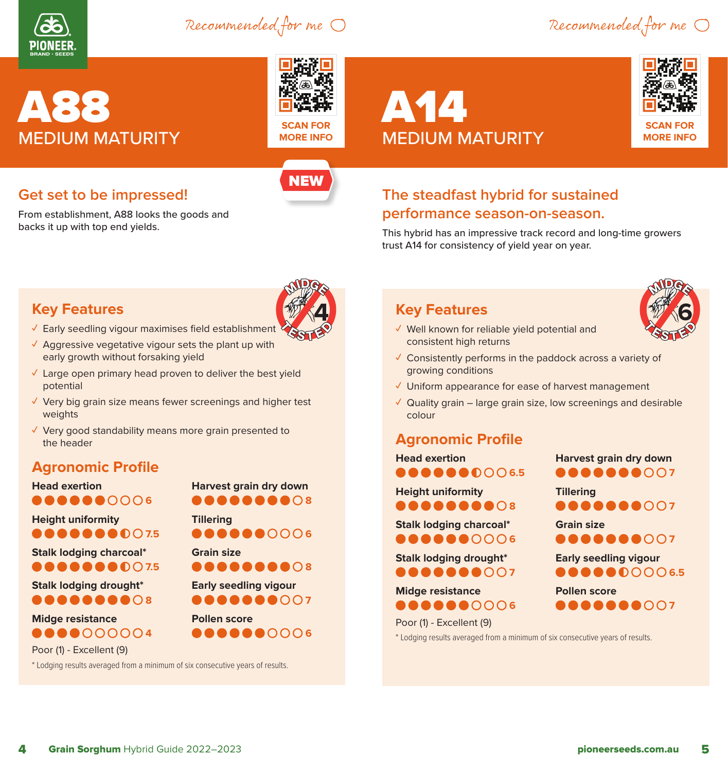

Recommended for me

Recommended for me

# A88 MEDIUM MATURITY



**SCAN FOR MORE INFO**

**NEW** 

# A14 MEDIUM MATURITY



#### **Get set to be impressed!**

From establishment, A88 looks the goods and backs it up with top end yields.

#### **The steadfast hybrid for sustained performance season-on-season.**

This hybrid has an impressive track record and long-time growers trust A14 for consistency of yield year on year.

#### **Key Features**

- **✓** Early seedling vigour maximises field establishment
- **✓** Aggressive vegetative vigour sets the plant up with early growth without forsaking yield
- **✓** Large open primary head proven to deliver the best yield potential
- **✓** Very big grain size means fewer screenings and higher test weights

**Harvest grain dry down 8888888**08

**666660006** 

**8888888**08 **Early seedling vigour 888888007** 

**666680006** 

**Tillering**

**Grain size**

**Pollen score**

**✓** Very good standability means more grain presented to the header

#### **Agronomic Profile**

**Head exertion 800000006** 

**Height uniformity 0000000**07.5

**Stalk lodging charcoal\* 8000000**07.5

**Stalk lodging drought\* 88888808** 

#### **Midge resistance 40000004**

Poor (1) - Excellent (9)

\* Lodging results averaged from a minimum of six consecutive years of results.

**Key Features**



- **✓** Well known for reliable yield potential and consistent high returns
- **✓** Consistently performs in the paddock across a variety of growing conditions
- **✓** Uniform appearance for ease of harvest management
- **✓** Quality grain large grain size, low screenings and desirable colour

#### **Agronomic Profile**

**Head exertion 6666600065** 

**Height uniformity 888888808** 

**Stalk lodging charcoal\* 600000**0006

**Stalk lodging drought\* 8000000007** 

**Midge resistance 666660006**  **Harvest grain dry down 888888007** 

**Tillering 888888007** 

**Grain size**

**800000**007 **Early seedling vigour**

**60000**0006.5

**Pollen score 888888007** 

Poor (1) - Excellent (9) \* Lodging results averaged from a minimum of six consecutive years of results.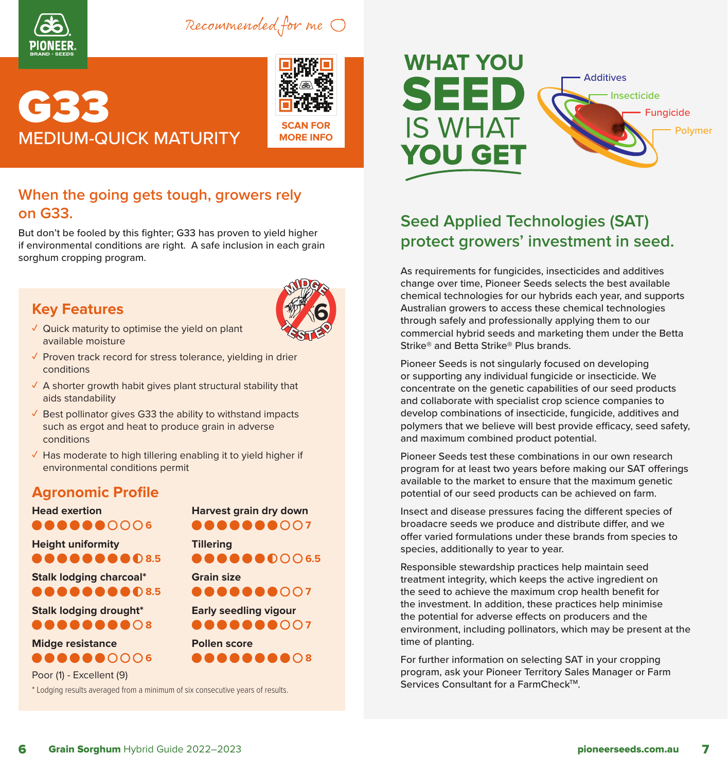

Recommended for me

## **CTC IC** MEDIUM-QUICK MATURITY



**SCAN FOR MORE INFO**

#### **When the going gets tough, growers rely on G33.**

But don't be fooled by this fighter; G33 has proven to yield higher if environmental conditions are right. A safe inclusion in each grain sorghum cropping program.

#### **Key Features**



- **✓** Quick maturity to optimise the yield on plant available moisture
- **✓** Proven track record for stress tolerance, yielding in drier conditions
- **✓** A shorter growth habit gives plant structural stability that aids standability
- **✓** Best pollinator gives G33 the ability to withstand impacts such as ergot and heat to produce grain in adverse conditions
- **✓** Has moderate to high tillering enabling it to yield higher if environmental conditions permit

#### **Agronomic Profile**

| <b>Head exertion</b>                                                                                       | Harvest grain dry down                                                                                                         |
|------------------------------------------------------------------------------------------------------------|--------------------------------------------------------------------------------------------------------------------------------|
| <b></b> cook                                                                                               | <b></b> 001                                                                                                                    |
| <b>Height uniformity</b>                                                                                   | <b>Tillering</b>                                                                                                               |
| <b>AAAAA@@D8.5</b>                                                                                         | $\begin{array}{c} \bullet\bullet\bullet\bullet\bullet\bullet\bullet\circ\circ\circ\circ\circ\circ\circ\circ\bullet\end{array}$ |
| <b>Stalk lodging charcoal*</b>                                                                             | <b>Grain size</b>                                                                                                              |
| <b></b>                                                                                                    | <b></b> 007                                                                                                                    |
| <b>Stalk lodging drought*</b>                                                                              | <b>Early seedling vigour</b>                                                                                                   |
| ●●●●●●●● <b>○</b> 8                                                                                        | <b></b> 007                                                                                                                    |
| <b>Midge resistance</b>                                                                                    | <b>Pollen score</b>                                                                                                            |
| <b></b> 00000                                                                                              |                                                                                                                                |
| Poor (1) - Excellent (9)<br>* Lodging results averaged from a minimum of six consecutive years of results. |                                                                                                                                |



#### **Seed Applied Technologies (SAT) protect growers' investment in seed.**

As requirements for fungicides, insecticides and additives change over time, Pioneer Seeds selects the best available chemical technologies for our hybrids each year, and supports Australian growers to access these chemical technologies through safely and professionally applying them to our commercial hybrid seeds and marketing them under the Betta Strike® and Betta Strike® Plus brands.

Pioneer Seeds is not singularly focused on developing or supporting any individual fungicide or insecticide. We concentrate on the genetic capabilities of our seed products and collaborate with specialist crop science companies to develop combinations of insecticide, fungicide, additives and polymers that we believe will best provide efficacy, seed safety, and maximum combined product potential.

Pioneer Seeds test these combinations in our own research program for at least two years before making our SAT offerings available to the market to ensure that the maximum genetic potential of our seed products can be achieved on farm.

Insect and disease pressures facing the different species of broadacre seeds we produce and distribute differ, and we offer varied formulations under these brands from species to species, additionally to year to year.

Responsible stewardship practices help maintain seed treatment integrity, which keeps the active ingredient on the seed to achieve the maximum crop health benefit for the investment. In addition, these practices help minimise the potential for adverse effects on producers and the environment, including pollinators, which may be present at the time of planting.

For further information on selecting SAT in your cropping program, ask your Pioneer Territory Sales Manager or Farm Services Consultant for a FarmCheck™.